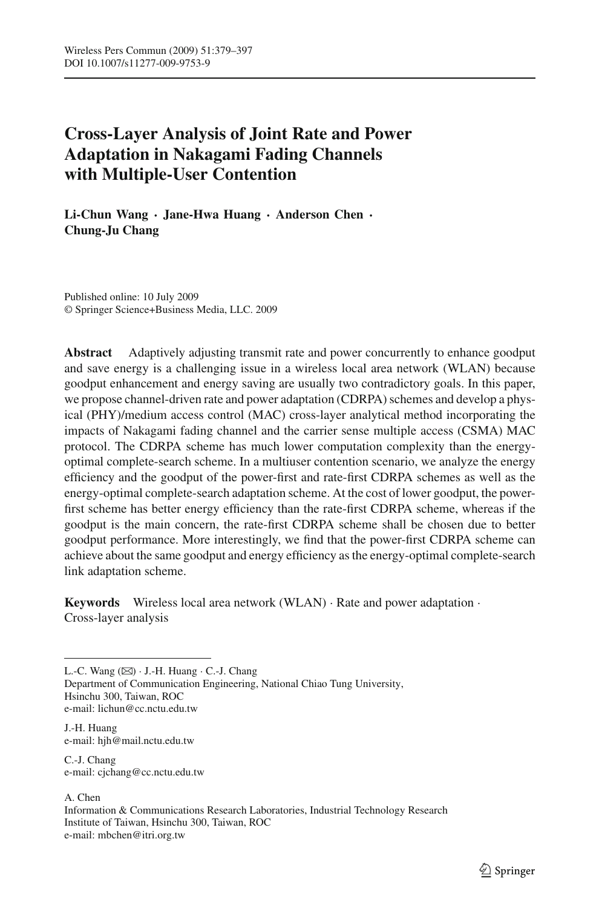# **Cross-Layer Analysis of Joint Rate and Power Adaptation in Nakagami Fading Channels with Multiple-User Contention**

**Li-Chun Wang** · **Jane-Hwa Huang** · **Anderson Chen** · **Chung-Ju Chang**

Published online: 10 July 2009 © Springer Science+Business Media, LLC. 2009

**Abstract** Adaptively adjusting transmit rate and power concurrently to enhance goodput and save energy is a challenging issue in a wireless local area network (WLAN) because goodput enhancement and energy saving are usually two contradictory goals. In this paper, we propose channel-driven rate and power adaptation (CDRPA) schemes and develop a physical (PHY)/medium access control (MAC) cross-layer analytical method incorporating the impacts of Nakagami fading channel and the carrier sense multiple access (CSMA) MAC protocol. The CDRPA scheme has much lower computation complexity than the energyoptimal complete-search scheme. In a multiuser contention scenario, we analyze the energy efficiency and the goodput of the power-first and rate-first CDRPA schemes as well as the energy-optimal complete-search adaptation scheme. At the cost of lower goodput, the powerfirst scheme has better energy efficiency than the rate-first CDRPA scheme, whereas if the goodput is the main concern, the rate-first CDRPA scheme shall be chosen due to better goodput performance. More interestingly, we find that the power-first CDRPA scheme can achieve about the same goodput and energy efficiency as the energy-optimal complete-search link adaptation scheme.

**Keywords** Wireless local area network (WLAN) · Rate and power adaptation · Cross-layer analysis

L.-C. Wang  $(\boxtimes)$   $\cdot$  J.-H. Huang  $\cdot$  C.-J. Chang

Department of Communication Engineering, National Chiao Tung University, Hsinchu 300, Taiwan, ROC e-mail: lichun@cc.nctu.edu.tw

J.-H. Huang e-mail: hjh@mail.nctu.edu.tw

C.-J. Chang e-mail: cjchang@cc.nctu.edu.tw

A. Chen

Information & Communications Research Laboratories, Industrial Technology Research Institute of Taiwan, Hsinchu 300, Taiwan, ROC e-mail: mbchen@itri.org.tw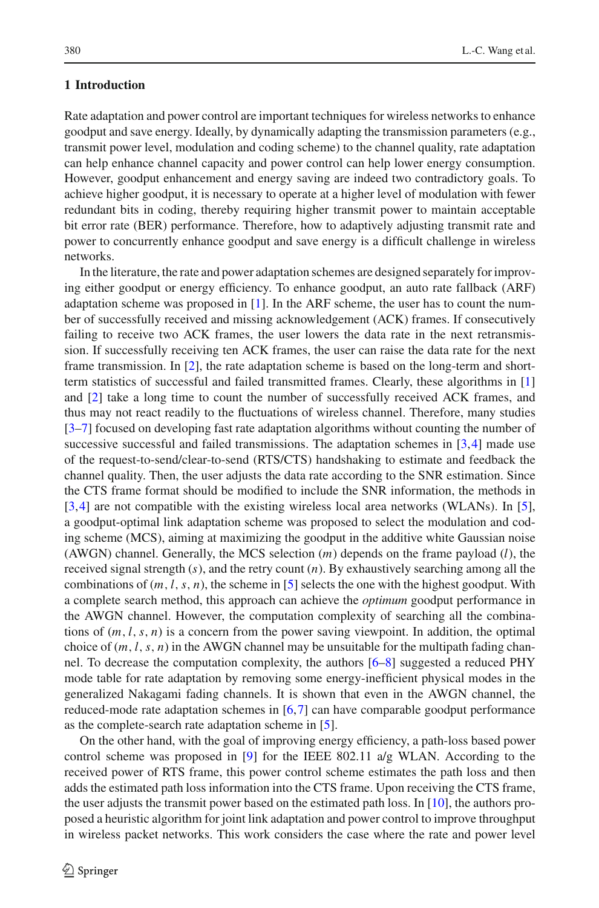# **1 Introduction**

Rate adaptation and power control are important techniques for wireless networks to enhance goodput and save energy. Ideally, by dynamically adapting the transmission parameters (e.g., transmit power level, modulation and coding scheme) to the channel quality, rate adaptation can help enhance channel capacity and power control can help lower energy consumption. However, goodput enhancement and energy saving are indeed two contradictory goals. To achieve higher goodput, it is necessary to operate at a higher level of modulation with fewer redundant bits in coding, thereby requiring higher transmit power to maintain acceptable bit error rate (BER) performance. Therefore, how to adaptively adjusting transmit rate and power to concurrently enhance goodput and save energy is a difficult challenge in wireless networks.

In the literature, the rate and power adaptation schemes are designed separately for improving either goodput or energy efficiency. To enhance goodput, an auto rate fallback (ARF) adaptation scheme was proposed in  $[1]$ . In the ARF scheme, the user has to count the number of successfully received and missing acknowledgement (ACK) frames. If consecutively failing to receive two ACK frames, the user lowers the data rate in the next retransmission. If successfully receiving ten ACK frames, the user can raise the data rate for the next frame transmission. In [\[2](#page-16-2)], the rate adaptation scheme is based on the long-term and shortterm statistics of successful and failed transmitted frames. Clearly, these algorithms in [\[1\]](#page-16-1) and [\[2](#page-16-2)] take a long time to count the number of successfully received ACK frames, and thus may not react readily to the fluctuations of wireless channel. Therefore, many studies [\[3](#page-16-3)[–7\]](#page-16-4) focused on developing fast rate adaptation algorithms without counting the number of successive successful and failed transmissions. The adaptation schemes in [\[3](#page-16-3)[,4\]](#page-16-5) made use of the request-to-send/clear-to-send (RTS/CTS) handshaking to estimate and feedback the channel quality. Then, the user adjusts the data rate according to the SNR estimation. Since the CTS frame format should be modified to include the SNR information, the methods in [\[3](#page-16-3)[,4\]](#page-16-5) are not compatible with the existing wireless local area networks (WLANs). In [\[5\]](#page-16-6), a goodput-optimal link adaptation scheme was proposed to select the modulation and coding scheme (MCS), aiming at maximizing the goodput in the additive white Gaussian noise (AWGN) channel. Generally, the MCS selection (*m*) depends on the frame payload (*l*), the received signal strength (*s*), and the retry count (*n*). By exhaustively searching among all the combinations of  $(m, l, s, n)$ , the scheme in [\[5\]](#page-16-6) selects the one with the highest goodput. With a complete search method, this approach can achieve the *optimum* goodput performance in the AWGN channel. However, the computation complexity of searching all the combinations of  $(m, l, s, n)$  is a concern from the power saving viewpoint. In addition, the optimal choice of  $(m, l, s, n)$  in the AWGN channel may be unsuitable for the multipath fading channel. To decrease the computation complexity, the authors [\[6](#page-16-7)[–8](#page-16-8)] suggested a reduced PHY mode table for rate adaptation by removing some energy-inefficient physical modes in the generalized Nakagami fading channels. It is shown that even in the AWGN channel, the reduced-mode rate adaptation schemes in [\[6](#page-16-7)[,7](#page-16-4)] can have comparable goodput performance as the complete-search rate adaptation scheme in [\[5](#page-16-6)].

On the other hand, with the goal of improving energy efficiency, a path-loss based power control scheme was proposed in [\[9\]](#page-16-9) for the IEEE 802.11 a/g WLAN. According to the received power of RTS frame, this power control scheme estimates the path loss and then adds the estimated path loss information into the CTS frame. Upon receiving the CTS frame, the user adjusts the transmit power based on the estimated path loss. In [\[10](#page-16-0)], the authors proposed a heuristic algorithm for joint link adaptation and power control to improve throughput in wireless packet networks. This work considers the case where the rate and power level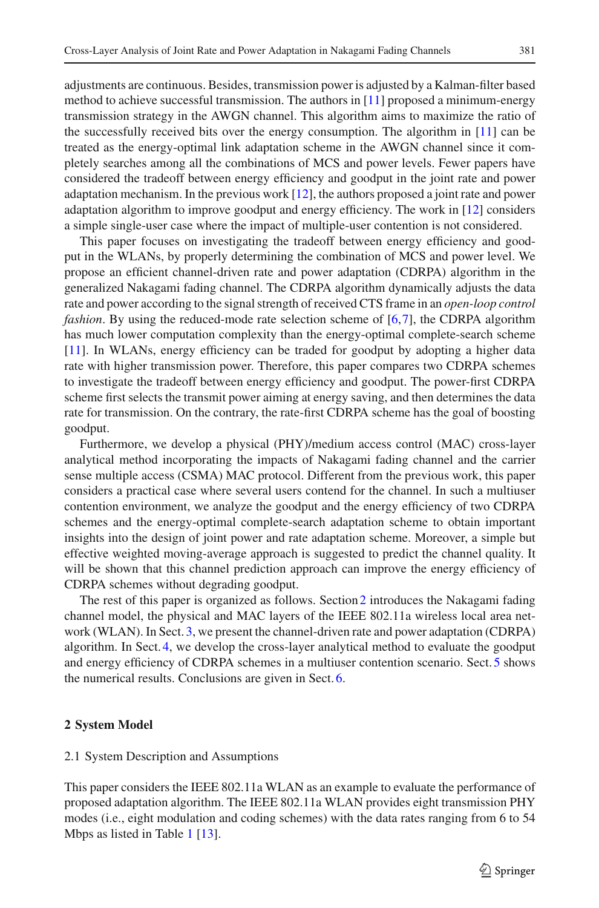adjustments are continuous. Besides, transmission power is adjusted by a Kalman-filter based method to achieve successful transmission. The authors in [\[11](#page-16-11)] proposed a minimum-energy transmission strategy in the AWGN channel. This algorithm aims to maximize the ratio of the successfully received bits over the energy consumption. The algorithm in [\[11\]](#page-16-11) can be treated as the energy-optimal link adaptation scheme in the AWGN channel since it completely searches among all the combinations of MCS and power levels. Fewer papers have considered the tradeoff between energy efficiency and goodput in the joint rate and power adaptation mechanism. In the previous work [\[12\]](#page-16-12), the authors proposed a joint rate and power adaptation algorithm to improve goodput and energy efficiency. The work in [\[12\]](#page-16-12) considers a simple single-user case where the impact of multiple-user contention is not considered.

This paper focuses on investigating the tradeoff between energy efficiency and goodput in the WLANs, by properly determining the combination of MCS and power level. We propose an efficient channel-driven rate and power adaptation (CDRPA) algorithm in the generalized Nakagami fading channel. The CDRPA algorithm dynamically adjusts the data rate and power according to the signal strength of received CTS frame in an *open-loop control fashion*. By using the reduced-mode rate selection scheme of [\[6](#page-16-7)[,7\]](#page-16-4), the CDRPA algorithm has much lower computation complexity than the energy-optimal complete-search scheme [\[11\]](#page-16-11). In WLANs, energy efficiency can be traded for goodput by adopting a higher data rate with higher transmission power. Therefore, this paper compares two CDRPA schemes to investigate the tradeoff between energy efficiency and goodput. The power-first CDRPA scheme first selects the transmit power aiming at energy saving, and then determines the data rate for transmission. On the contrary, the rate-first CDRPA scheme has the goal of boosting goodput.

Furthermore, we develop a physical (PHY)/medium access control (MAC) cross-layer analytical method incorporating the impacts of Nakagami fading channel and the carrier sense multiple access (CSMA) MAC protocol. Different from the previous work, this paper considers a practical case where several users contend for the channel. In such a multiuser contention environment, we analyze the goodput and the energy efficiency of two CDRPA schemes and the energy-optimal complete-search adaptation scheme to obtain important insights into the design of joint power and rate adaptation scheme. Moreover, a simple but effective weighted moving-average approach is suggested to predict the channel quality. It will be shown that this channel prediction approach can improve the energy efficiency of CDRPA schemes without degrading goodput.

The rest of this paper is organized as follows. Section[2](#page-2-0) introduces the Nakagami fading channel model, the physical and MAC layers of the IEEE 802.11a wireless local area network (WLAN). In Sect. [3,](#page-5-0) we present the channel-driven rate and power adaptation (CDRPA) algorithm. In Sect. [4,](#page-8-0) we develop the cross-layer analytical method to evaluate the goodput and energy efficiency of CDRPA schemes in a multiuser contention scenario. Sect[.5](#page-10-0) shows the numerical results. Conclusions are given in Sect. [6.](#page-15-0)

## <span id="page-2-0"></span>**2 System Model**

## 2.1 System Description and Assumptions

This paper considers the IEEE 802.11a WLAN as an example to evaluate the performance of proposed adaptation algorithm. The IEEE 802.11a WLAN provides eight transmission PHY modes (i.e., eight modulation and coding schemes) with the data rates ranging from 6 to 54 Mbps as listed in Table [1](#page-3-0) [\[13\]](#page-16-10).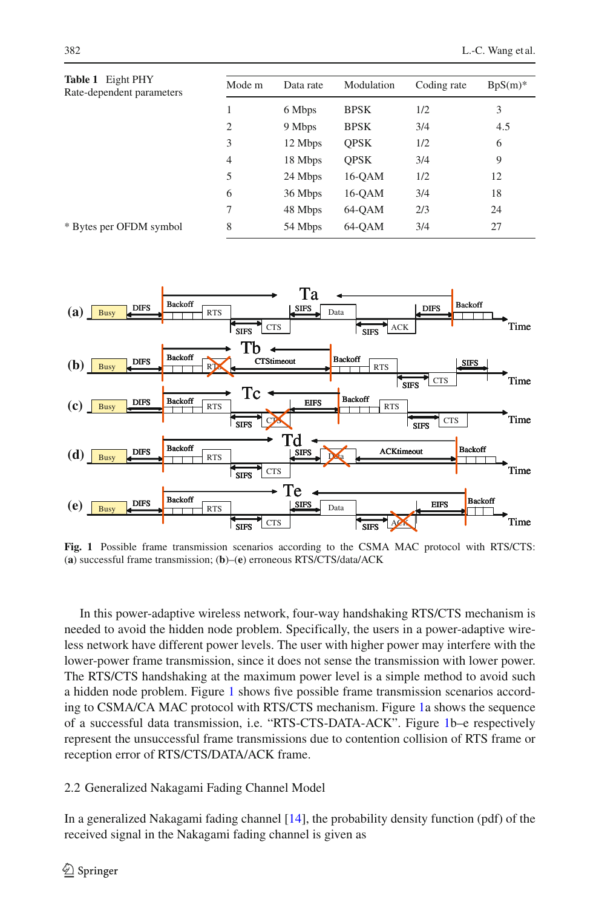<span id="page-3-0"></span>

| Table 1 Eight PHY<br>Rate-dependent parameters | Mode m         | Data rate | Modulation  | Coding rate | $BpS(m)$ * |
|------------------------------------------------|----------------|-----------|-------------|-------------|------------|
|                                                | 1              | 6 Mbps    | <b>BPSK</b> | 1/2         | 3          |
|                                                | $\overline{2}$ | 9 Mbps    | <b>BPSK</b> | 3/4         | 4.5        |
|                                                | 3              | 12 Mbps   | <b>OPSK</b> | 1/2         | 6          |
|                                                | 4              | 18 Mbps   | <b>OPSK</b> | 3/4         | 9          |
|                                                | 5              | 24 Mbps   | 16-OAM      | 1/2         | 12         |
|                                                | 6              | 36 Mbps   | $16$ -OAM   | 3/4         | 18         |
|                                                | 7              | 48 Mbps   | 64-OAM      | 2/3         | 24         |
| * Bytes per OFDM symbol                        | 8              | 54 Mbps   | 64-OAM      | 3/4         | 27         |



<span id="page-3-1"></span>**Fig. 1** Possible frame transmission scenarios according to the CSMA MAC protocol with RTS/CTS: (**a**) successful frame transmission; (**b**)–(**e**) erroneous RTS/CTS/data/ACK

In this power-adaptive wireless network, four-way handshaking RTS/CTS mechanism is needed to avoid the hidden node problem. Specifically, the users in a power-adaptive wireless network have different power levels. The user with higher power may interfere with the lower-power frame transmission, since it does not sense the transmission with lower power. The RTS/CTS handshaking at the maximum power level is a simple method to avoid such a hidden node problem. Figure [1](#page-3-1) shows five possible frame transmission scenarios according to CSMA/CA MAC protocol with RTS/CTS mechanism. Figure [1a](#page-3-1) shows the sequence of a successful data transmission, i.e. "RTS-CTS-DATA-ACK". Figure [1b](#page-3-1)–e respectively represent the unsuccessful frame transmissions due to contention collision of RTS frame or reception error of RTS/CTS/DATA/ACK frame.

## 2.2 Generalized Nakagami Fading Channel Model

In a generalized Nakagami fading channel [\[14](#page-16-13)], the probability density function (pdf) of the received signal in the Nakagami fading channel is given as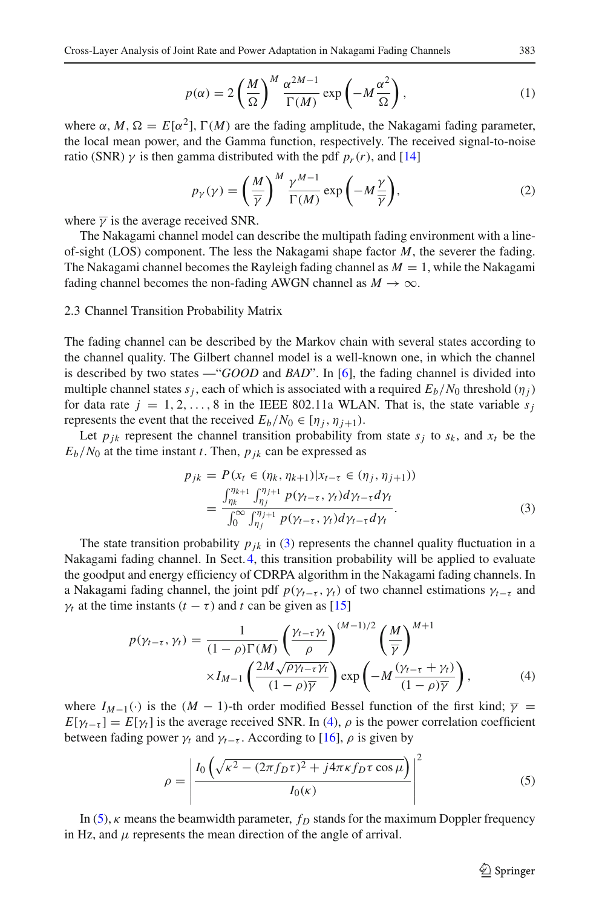$$
p(\alpha) = 2\left(\frac{M}{\Omega}\right)^M \frac{\alpha^{2M-1}}{\Gamma(M)} \exp\left(-M\frac{\alpha^2}{\Omega}\right),\tag{1}
$$

where  $\alpha$ ,  $M$ ,  $\Omega = E[\alpha^2]$ ,  $\Gamma(M)$  are the fading amplitude, the Nakagami fading parameter, the local mean power, and the Gamma function, respectively. The received signal-to-noise ratio (SNR)  $\gamma$  is then gamma distributed with the pdf  $p_r(r)$ , and [\[14\]](#page-16-13)

$$
p_Y(\gamma) = \left(\frac{M}{\overline{\gamma}}\right)^M \frac{\gamma^{M-1}}{\Gamma(M)} \exp\left(-M\frac{\gamma}{\overline{\gamma}}\right),\tag{2}
$$

where  $\overline{\gamma}$  is the average received SNR.

The Nakagami channel model can describe the multipath fading environment with a lineof-sight (LOS) component. The less the Nakagami shape factor *M*, the severer the fading. The Nakagami channel becomes the Rayleigh fading channel as  $M = 1$ , while the Nakagami fading channel becomes the non-fading AWGN channel as  $M \to \infty$ .

#### 2.3 Channel Transition Probability Matrix

The fading channel can be described by the Markov chain with several states according to the channel quality. The Gilbert channel model is a well-known one, in which the channel is described by two states —"*GOOD* and *BAD*". In [\[6\]](#page-16-7), the fading channel is divided into multiple channel states  $s_j$ , each of which is associated with a required  $E_b/N_0$  threshold ( $\eta_j$ ) for data rate  $j = 1, 2, \ldots, 8$  in the IEEE 802.11a WLAN. That is, the state variable  $s_j$ represents the event that the received  $E_b/N_0 \in [\eta_i, \eta_{i+1}).$ 

<span id="page-4-1"></span>Let  $p_{jk}$  represent the channel transition probability from state  $s_j$  to  $s_k$ , and  $x_t$  be the  $E_b/N_0$  at the time instant *t*. Then,  $p_{ik}$  can be expressed as

$$
p_{jk} = P(x_t \in (\eta_k, \eta_{k+1}) | x_{t-\tau} \in (\eta_j, \eta_{j+1}))
$$
  
= 
$$
\frac{\int_{\eta_k}^{\eta_{k+1}} \int_{\eta_j}^{\eta_{j+1}} p(\gamma_{t-\tau}, \gamma_t) d\gamma_{t-\tau} d\gamma_t}{\int_0^\infty \int_{\eta_j}^{\eta_{j+1}} p(\gamma_{t-\tau}, \gamma_t) d\gamma_{t-\tau} d\gamma_t}.
$$
 (3)

The state transition probability  $p_{ik}$  in [\(3\)](#page-4-1) represents the channel quality fluctuation in a Nakagami fading channel. In Sect[.4,](#page-8-0) this transition probability will be applied to evaluate the goodput and energy efficiency of CDRPA algorithm in the Nakagami fading channels. In a Nakagami fading channel, the joint pdf  $p(\gamma_{t-\tau}, \gamma_t)$  of two channel estimations  $\gamma_{t-\tau}$  and  $\gamma_t$  at the time instants ( $t - \tau$ ) and  $t$  can be given as [\[15\]](#page-16-14)

$$
p(\gamma_{t-\tau}, \gamma_t) = \frac{1}{(1-\rho)\Gamma(M)} \left(\frac{\gamma_{t-\tau}\gamma_t}{\rho}\right)^{(M-1)/2} \left(\frac{M}{\overline{\gamma}}\right)^{M+1} \times I_{M-1} \left(\frac{2M\sqrt{\rho\gamma_{t-\tau}\gamma_t}}{(1-\rho)\overline{\gamma}}\right) \exp\left(-M\frac{(\gamma_{t-\tau}+\gamma_t)}{(1-\rho)\overline{\gamma}}\right),\tag{4}
$$

<span id="page-4-2"></span>where  $I_{M-1}(\cdot)$  is the  $(M-1)$ -th order modified Bessel function of the first kind;  $\overline{\gamma}$  =  $E[\gamma_{t-\tau}] = E[\gamma_t]$  is the average received SNR. In [\(4\)](#page-4-2),  $\rho$  is the power correlation coefficient between fading power  $\gamma_t$  and  $\gamma_{t-\tau}$ . According to [\[16\]](#page-16-15),  $\rho$  is given by

$$
\rho = \left| \frac{I_0 \left( \sqrt{\kappa^2 - (2\pi f_D \tau)^2 + j4\pi \kappa f_D \tau \cos \mu} \right)}{I_0(\kappa)} \right|^2 \tag{5}
$$

<span id="page-4-0"></span>In  $(5)$ ,  $\kappa$  means the beamwidth parameter,  $f<sub>D</sub>$  stands for the maximum Doppler frequency in Hz, and  $\mu$  represents the mean direction of the angle of arrival.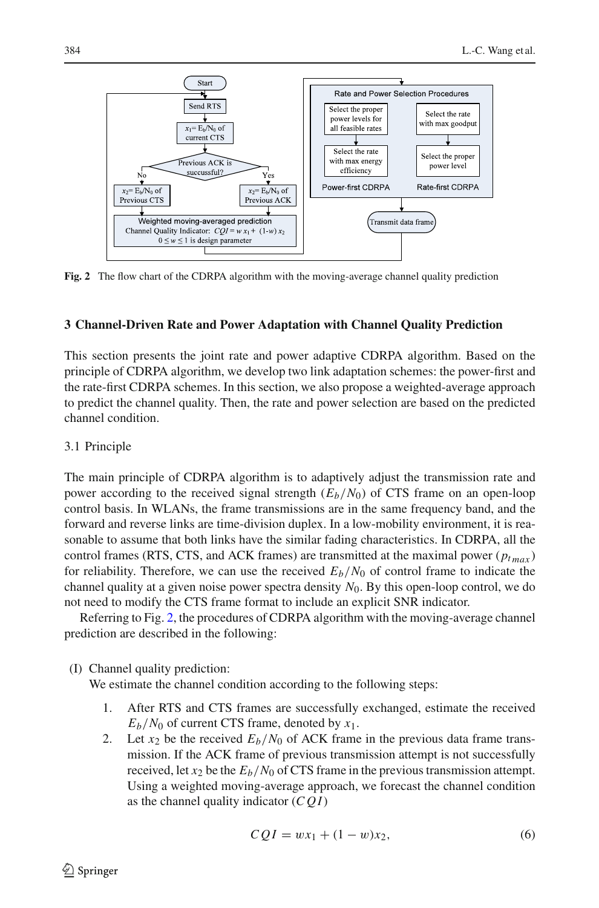

<span id="page-5-1"></span>**Fig. 2** The flow chart of the CDRPA algorithm with the moving-average channel quality prediction

# <span id="page-5-0"></span>**3 Channel-Driven Rate and Power Adaptation with Channel Quality Prediction**

This section presents the joint rate and power adaptive CDRPA algorithm. Based on the principle of CDRPA algorithm, we develop two link adaptation schemes: the power-first and the rate-first CDRPA schemes. In this section, we also propose a weighted-average approach to predict the channel quality. Then, the rate and power selection are based on the predicted channel condition.

## 3.1 Principle

The main principle of CDRPA algorithm is to adaptively adjust the transmission rate and power according to the received signal strength  $(E_b/N_0)$  of CTS frame on an open-loop control basis. In WLANs, the frame transmissions are in the same frequency band, and the forward and reverse links are time-division duplex. In a low-mobility environment, it is reasonable to assume that both links have the similar fading characteristics. In CDRPA, all the control frames (RTS, CTS, and ACK frames) are transmitted at the maximal power ( $p_{tmax}$ ) for reliability. Therefore, we can use the received  $E_b/N_0$  of control frame to indicate the channel quality at a given noise power spectra density *N*0. By this open-loop control, we do not need to modify the CTS frame format to include an explicit SNR indicator.

Referring to Fig. [2,](#page-5-1) the procedures of CDRPA algorithm with the moving-average channel prediction are described in the following:

(I) Channel quality prediction:

We estimate the channel condition according to the following steps:

- 1. After RTS and CTS frames are successfully exchanged, estimate the received  $E_b/N_0$  of current CTS frame, denoted by  $x_1$ .
- 2. Let  $x_2$  be the received  $E_b/N_0$  of ACK frame in the previous data frame transmission. If the ACK frame of previous transmission attempt is not successfully received, let  $x_2$  be the  $E_b/N_0$  of CTS frame in the previous transmission attempt. Using a weighted moving-average approach, we forecast the channel condition as the channel quality indicator (*C Q I*)

<span id="page-5-2"></span>
$$
CQI = wx_1 + (1 - w)x_2,
$$
 (6)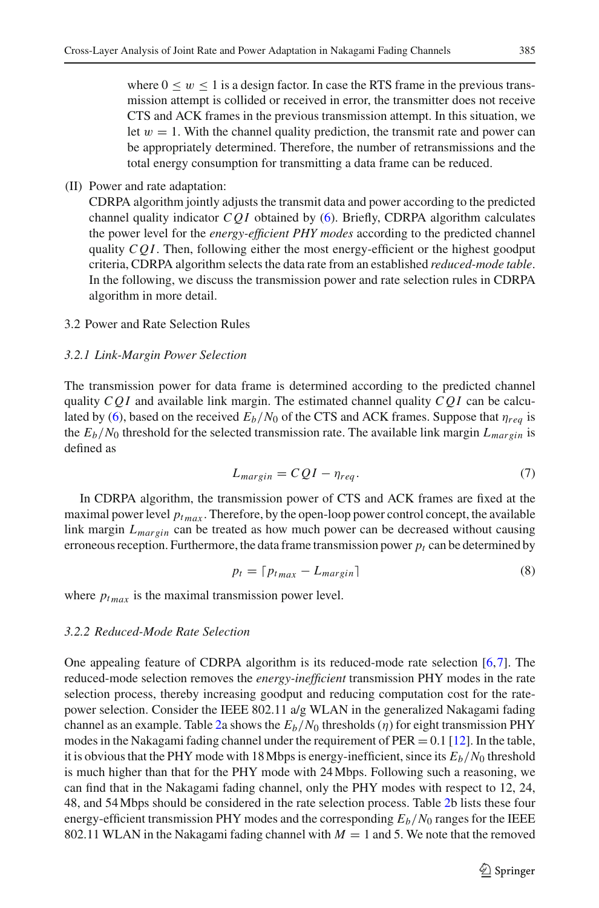where  $0 \leq w \leq 1$  is a design factor. In case the RTS frame in the previous transmission attempt is collided or received in error, the transmitter does not receive CTS and ACK frames in the previous transmission attempt. In this situation, we let  $w = 1$ . With the channel quality prediction, the transmit rate and power can be appropriately determined. Therefore, the number of retransmissions and the total energy consumption for transmitting a data frame can be reduced.

## (II) Power and rate adaptation:

CDRPA algorithm jointly adjusts the transmit data and power according to the predicted channel quality indicator  $CQI$  obtained by [\(6\)](#page-5-2). Briefly, CDRPA algorithm calculates the power level for the *energy-efficient PHY modes* according to the predicted channel quality *C Q I*. Then, following either the most energy-efficient or the highest goodput criteria, CDRPA algorithm selects the data rate from an established *reduced-mode table*. In the following, we discuss the transmission power and rate selection rules in CDRPA algorithm in more detail.

# 3.2 Power and Rate Selection Rules

#### *3.2.1 Link-Margin Power Selection*

The transmission power for data frame is determined according to the predicted channel quality  $CQI$  and available link margin. The estimated channel quality  $CQI$  can be calcu-lated by [\(6\)](#page-5-2), based on the received  $E_b/N_0$  of the CTS and ACK frames. Suppose that  $\eta_{rea}$  is the  $E_b/N_0$  threshold for the selected transmission rate. The available link margin  $L_{margin}$  is defined as

$$
L_{margin} = CQI - \eta_{req}.
$$
\n<sup>(7)</sup>

<span id="page-6-1"></span>In CDRPA algorithm, the transmission power of CTS and ACK frames are fixed at the maximal power level  $p_{tmax}$ . Therefore, by the open-loop power control concept, the available link margin  $L_{margin}$  can be treated as how much power can be decreased without causing erroneous reception. Furthermore, the data frame transmission power  $p_t$  can be determined by

$$
p_t = \lceil p_{t_{max}} - L_{margin} \rceil \tag{8}
$$

<span id="page-6-0"></span>where  $p_{tmax}$  is the maximal transmission power level.

#### *3.2.2 Reduced-Mode Rate Selection*

One appealing feature of CDRPA algorithm is its reduced-mode rate selection [\[6,](#page-16-7)[7\]](#page-16-4). The reduced-mode selection removes the *energy-inefficient* transmission PHY modes in the rate selection process, thereby increasing goodput and reducing computation cost for the ratepower selection. Consider the IEEE 802.11 a/g WLAN in the generalized Nakagami fading channel as an example. Table [2a](#page-7-0) shows the  $E_b/N_0$  thresholds ( $\eta$ ) for eight transmission PHY modes in the Nakagami fading channel under the requirement of  $PER = 0.1$  [\[12](#page-16-12)]. In the table, it is obvious that the PHY mode with 18 Mbps is energy-inefficient, since its  $E_b/N_0$  threshold is much higher than that for the PHY mode with 24Mbps. Following such a reasoning, we can find that in the Nakagami fading channel, only the PHY modes with respect to 12, 24, 48, and 54Mbps should be considered in the rate selection process. Table [2b](#page-7-0) lists these four energy-efficient transmission PHY modes and the corresponding *Eb*/*N*<sup>0</sup> ranges for the IEEE 802.11 WLAN in the Nakagami fading channel with  $M = 1$  and 5. We note that the removed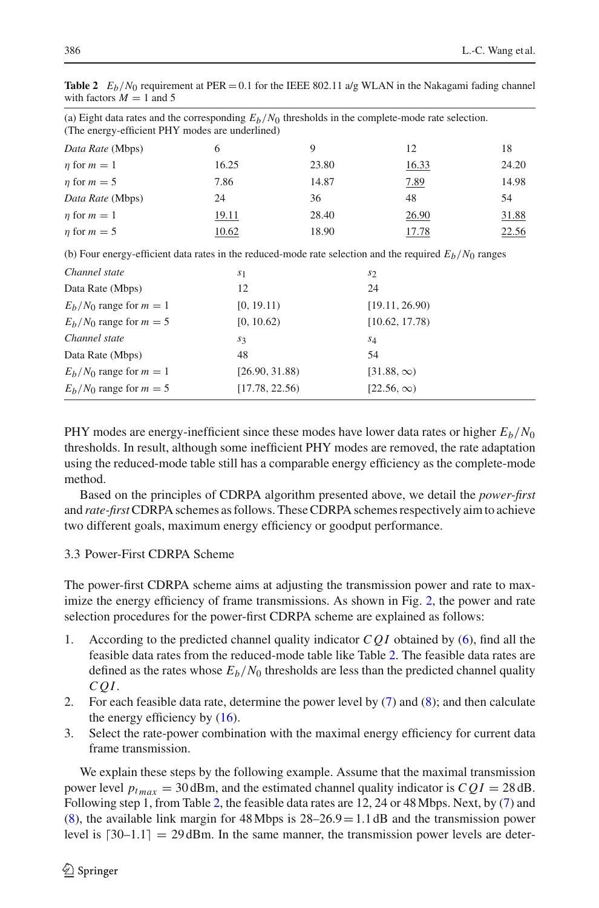| (a) Eight data rates and the corresponding $E_b/N_0$ thresholds in the complete-mode rate selection.<br>(The energy-efficient PHY modes are underlined) |                |       |                |                |  |  |
|---------------------------------------------------------------------------------------------------------------------------------------------------------|----------------|-------|----------------|----------------|--|--|
| Data Rate (Mbps)                                                                                                                                        | 6              | 9     | 12             | 18             |  |  |
| $\eta$ for $m=1$                                                                                                                                        | 16.25          | 23.80 | 16.33          | 24.20          |  |  |
| $\eta$ for $m = 5$                                                                                                                                      | 7.86           | 14.87 | 7.89           | 14.98          |  |  |
| Data Rate (Mbps)                                                                                                                                        | 24             | 36    | 48             | 54             |  |  |
| $\eta$ for $m=1$                                                                                                                                        | 19.11          | 28.40 | 26.90          | 31.88          |  |  |
| $\eta$ for $m = 5$                                                                                                                                      | 10.62          | 18.90 | 17.78          | 22.56          |  |  |
| (b) Four energy-efficient data rates in the reduced-mode rate selection and the required $E_b/N_0$ ranges                                               |                |       |                |                |  |  |
| Channel state                                                                                                                                           | s <sub>1</sub> |       | $s_2$          |                |  |  |
| Data Rate (Mbps)                                                                                                                                        | 12             |       | 24             |                |  |  |
| $E_h/N_0$ range for $m=1$                                                                                                                               | [0, 19.11)     |       | [19.11, 26.90] |                |  |  |
| $E_h/N_0$ range for $m=5$                                                                                                                               | [0, 10.62)     |       |                | [10.62, 17.78] |  |  |
| Channel state                                                                                                                                           | $s_3$          |       | S <sub>4</sub> |                |  |  |
| Data Rate (Mbps)                                                                                                                                        | 48             |       | 54             |                |  |  |

<span id="page-7-0"></span>**Table 2**  $E_b/N_0$  requirement at PER = 0.1 for the IEEE 802.11 a/g WLAN in the Nakagami fading channel with factors  $M = 1$  and 5

PHY modes are energy-inefficient since these modes have lower data rates or higher  $E_b/N_0$ thresholds. In result, although some inefficient PHY modes are removed, the rate adaptation using the reduced-mode table still has a comparable energy efficiency as the complete-mode method.

 $E_h/N_0$  range for  $m = 1$  [26.90, 31.88) [31.88, ∞)  $E_h/N_0$  range for  $m = 5$  [17.78, 22.56) [22.56, ∞)

Based on the principles of CDRPA algorithm presented above, we detail the *power-first* and *rate-first*CDRPA schemes as follows. These CDRPA schemes respectively aim to achieve two different goals, maximum energy efficiency or goodput performance.

# <span id="page-7-1"></span>3.3 Power-First CDRPA Scheme

The power-first CDRPA scheme aims at adjusting the transmission power and rate to maximize the energy efficiency of frame transmissions. As shown in Fig. [2,](#page-5-1) the power and rate selection procedures for the power-first CDRPA scheme are explained as follows:

- 1. According to the predicted channel quality indicator *C Q I* obtained by [\(6\)](#page-5-2), find all the feasible data rates from the reduced-mode table like Table [2.](#page-7-0) The feasible data rates are defined as the rates whose  $E_b/N_0$  thresholds are less than the predicted channel quality *C Q I*.
- 2. For each feasible data rate, determine the power level by [\(7\)](#page-6-1) and [\(8\)](#page-6-0); and then calculate the energy efficiency by [\(16\)](#page-10-1).
- 3. Select the rate-power combination with the maximal energy efficiency for current data frame transmission.

We explain these steps by the following example. Assume that the maximal transmission power level  $p_{tmax} = 30$  dBm, and the estimated channel quality indicator is  $CQI = 28$  dB. Following step 1, from Table [2,](#page-7-0) the feasible data rates are 12, 24 or 48Mbps. Next, by [\(7\)](#page-6-1) and  $(8)$ , the available link margin for 48 Mbps is  $28-26.9=1.1$  dB and the transmission power level is  $\lceil 30-1.1 \rceil = 29$  dBm. In the same manner, the transmission power levels are deter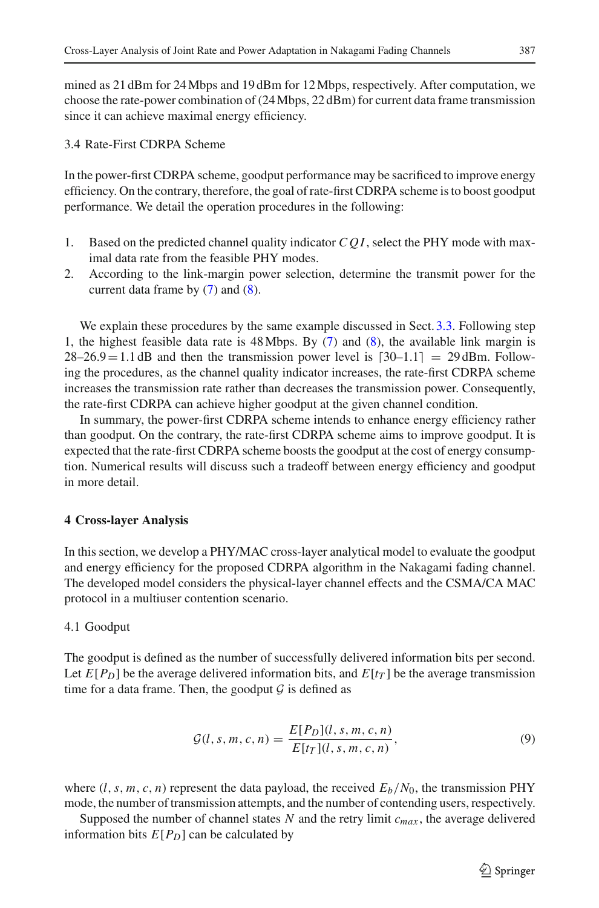mined as 21 dBm for 24Mbps and 19 dBm for 12Mbps, respectively. After computation, we choose the rate-power combination of (24Mbps, 22 dBm) for current data frame transmission since it can achieve maximal energy efficiency.

3.4 Rate-First CDRPA Scheme

In the power-first CDRPA scheme, goodput performance may be sacrificed to improve energy efficiency. On the contrary, therefore, the goal of rate-first CDRPA scheme is to boost goodput performance. We detail the operation procedures in the following:

- 1. Based on the predicted channel quality indicator *C Q I*, select the PHY mode with maximal data rate from the feasible PHY modes.
- 2. According to the link-margin power selection, determine the transmit power for the current data frame by [\(7\)](#page-6-1) and [\(8\)](#page-6-0).

We explain these procedures by the same example discussed in Sect. [3.3.](#page-7-1) Following step 1, the highest feasible data rate is 48Mbps. By [\(7\)](#page-6-1) and [\(8\)](#page-6-0), the available link margin is  $28-26.9=1.1$  dB and then the transmission power level is  $[30-1.1] = 29$  dBm. Following the procedures, as the channel quality indicator increases, the rate-first CDRPA scheme increases the transmission rate rather than decreases the transmission power. Consequently, the rate-first CDRPA can achieve higher goodput at the given channel condition.

In summary, the power-first CDRPA scheme intends to enhance energy efficiency rather than goodput. On the contrary, the rate-first CDRPA scheme aims to improve goodput. It is expected that the rate-first CDRPA scheme boosts the goodput at the cost of energy consumption. Numerical results will discuss such a tradeoff between energy efficiency and goodput in more detail.

# <span id="page-8-0"></span>**4 Cross-layer Analysis**

In this section, we develop a PHY/MAC cross-layer analytical model to evaluate the goodput and energy efficiency for the proposed CDRPA algorithm in the Nakagami fading channel. The developed model considers the physical-layer channel effects and the CSMA/CA MAC protocol in a multiuser contention scenario.

# 4.1 Goodput

The goodput is defined as the number of successfully delivered information bits per second. Let  $E[P_D]$  be the average delivered information bits, and  $E[t_T]$  be the average transmission time for a data frame. Then, the goodput  $\mathcal G$  is defined as

$$
\mathcal{G}(l, s, m, c, n) = \frac{E[P_D](l, s, m, c, n)}{E[t_T](l, s, m, c, n)},
$$
\n(9)

where  $(l, s, m, c, n)$  represent the data payload, the received  $E_b/N_0$ , the transmission PHY mode, the number of transmission attempts, and the number of contending users, respectively.

Supposed the number of channel states  $N$  and the retry limit  $c_{max}$ , the average delivered information bits  $E[P_D]$  can be calculated by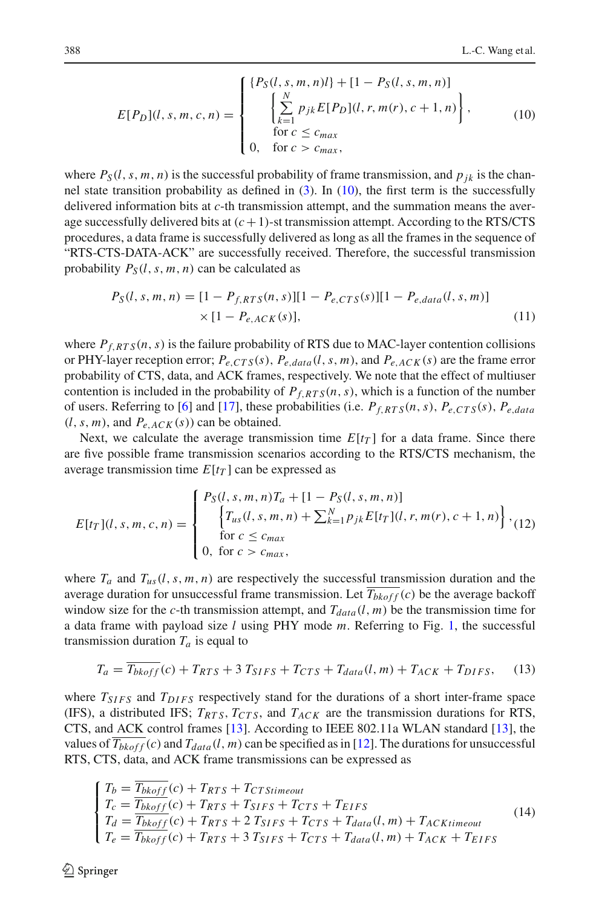$$
E[P_D](l, s, m, c, n) = \begin{cases} \{P_S(l, s, m, n)l\} + [1 - P_S(l, s, m, n)] \\ \left[\sum_{k=1}^{N} p_{jk} E[P_D](l, r, m(r), c + 1, n)\right], \\ \text{for } c \le c_{max} \\ 0, \text{ for } c > c_{max}, \end{cases}
$$
(10)

<span id="page-9-0"></span>where  $P_S(l, s, m, n)$  is the successful probability of frame transmission, and  $p_{ik}$  is the channel state transition probability as defined in [\(3\)](#page-4-1). In [\(10\)](#page-9-0), the first term is the successfully delivered information bits at *c*-th transmission attempt, and the summation means the average successfully delivered bits at  $(c+1)$ -st transmission attempt. According to the RTS/CTS procedures, a data frame is successfully delivered as long as all the frames in the sequence of "RTS-CTS-DATA-ACK" are successfully received. Therefore, the successful transmission probability  $P_S(l, s, m, n)$  can be calculated as

$$
P_S(l, s, m, n) = [1 - P_{f,RTS}(n, s)][1 - P_{e,CTS}(s)][1 - P_{e,data}(l, s, m)]
$$
  
× [1 - P\_{e,ACK}(s)], (11)

where  $P_{f,RTS}(n, s)$  is the failure probability of RTS due to MAC-layer contention collisions or PHY-layer reception error;  $P_{e,CTS}(s)$ ,  $P_{e,data}(l, s, m)$ , and  $P_{e,ACK}(s)$  are the frame error probability of CTS, data, and ACK frames, respectively. We note that the effect of multiuser contention is included in the probability of  $P_{f,RTS}(n, s)$ , which is a function of the number of users. Referring to [\[6](#page-16-7)] and [\[17\]](#page-16-16), these probabilities (i.e. *Pf*,*RT S*(*n*,*s*), *Pe*,*CT S*(*s*), *Pe*,*data*  $(l, s, m)$ , and  $P_{e, ACK}(s)$  can be obtained.

Next, we calculate the average transmission time  $E[t_T]$  for a data frame. Since there are five possible frame transmission scenarios according to the RTS/CTS mechanism, the average transmission time  $E[t_T]$  can be expressed as

$$
E[t_T](l, s, m, c, n) = \begin{cases} P_S(l, s, m, n)T_a + [1 - P_S(l, s, m, n)] \\ \left\{ T_{us}(l, s, m, n) + \sum_{k=1}^{N} p_{jk} E[t_T](l, r, m(r), c + 1, n) \right\}, \\ \text{for } c \le c_{max} \\ 0, \text{ for } c > c_{max}, \end{cases}
$$

where  $T_a$  and  $T_{us}(l, s, m, n)$  are respectively the successful transmission duration and the average duration for unsuccessful frame transmission. Let  $\overline{T_{b k \cdot \theta f}}(c)$  be the average backoff window size for the *c*-th transmission attempt, and  $T_{data}(l, m)$  be the transmission time for a data frame with payload size *l* using PHY mode *m*. Referring to Fig. [1,](#page-3-1) the successful transmission duration  $T_a$  is equal to

$$
T_a = \overline{T_{bkoff}}(c) + T_{RTS} + 3 T_{SIFS} + T_{CTS} + T_{data}(l, m) + T_{ACK} + T_{DIFS}, \quad (13)
$$

where  $T_{SIFS}$  and  $T_{DIFS}$  respectively stand for the durations of a short inter-frame space (IFS), a distributed IFS;  $T_{RTS}$ ,  $T_{CTS}$ , and  $T_{ACK}$  are the transmission durations for RTS, CTS, and ACK control frames [\[13](#page-16-10)]. According to IEEE 802.11a WLAN standard [\[13](#page-16-10)], the values of  $\overline{T_{b k off}}(c)$  and  $T_{data}(l, m)$  can be specified as in [\[12\]](#page-16-12). The durations for unsuccessful RTS, CTS, data, and ACK frame transmissions can be expressed as

$$
\begin{cases}\nT_b = \frac{T_{bkoff}}{T_{bkoff}}(c) + T_{RTS} + T_{CTStimeout} \\
T_c = \frac{T_{bkoff}}{T_{bkoff}}(c) + T_{RTS} + T_{SIFS} + T_{CTS} + T_{EIFS} \\
T_d = \frac{T_{bkoff}}{T_{bkoff}}(c) + T_{RTS} + 2 T_{SIFS} + T_{CTS} + T_{data}(l, m) + T_{ACKtimeout} \\
T_e = \frac{T_{bkoff}}{T_{bkoff}}(c) + T_{RTS} + 3 T_{SIFS} + T_{CTS} + T_{data}(l, m) + T_{ACK} + T_{EIFS}\n\end{cases}
$$
\n(14)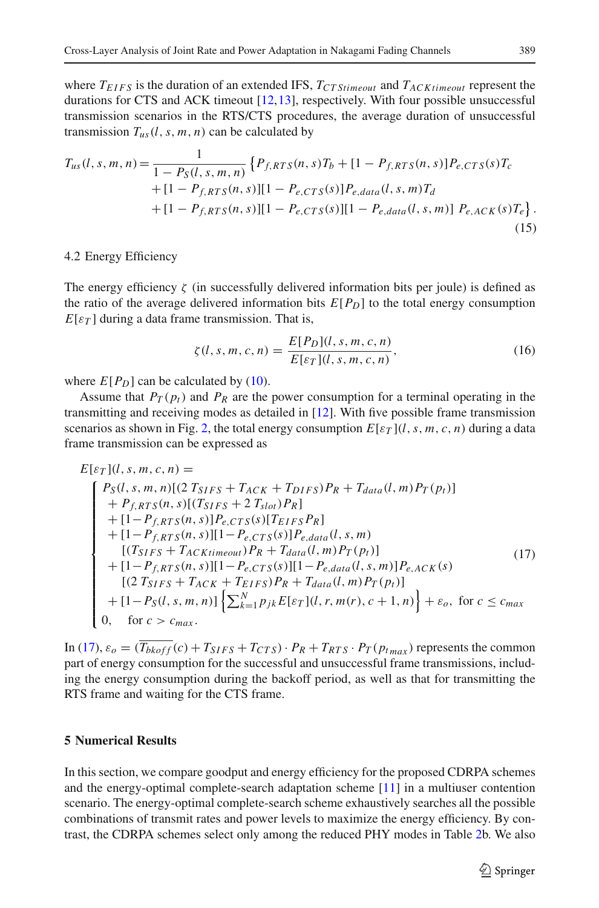where  $T_{EIFS}$  is the duration of an extended IFS,  $T_{CTStimeout}$  and  $T_{ACKtimeout}$  represent the durations for CTS and ACK timeout [\[12](#page-16-12)[,13\]](#page-16-10), respectively. With four possible unsuccessful transmission scenarios in the RTS/CTS procedures, the average duration of unsuccessful transmission  $T_{us}(l, s, m, n)$  can be calculated by

$$
T_{us}(l, s, m, n) = \frac{1}{1 - P_S(l, s, m, n)} \left\{ P_{f,RTS}(n, s) T_b + [1 - P_{f,RTS}(n, s)] P_{e,CTS}(s) T_c + [1 - P_{f,RTS}(n, s)] [1 - P_{e,CTS}(s)] P_{e,data}(l, s, m) T_d + [1 - P_{f,RTS}(n, s)] [1 - P_{e,CTS}(s)] [1 - P_{e,data}(l, s, m)] P_{e,ACK}(s) T_e \right\}.
$$
\n(15)

## 4.2 Energy Efficiency

The energy efficiency  $\zeta$  (in successfully delivered information bits per joule) is defined as the ratio of the average delivered information bits  $E[P_D]$  to the total energy consumption  $E[\varepsilon_T]$  during a data frame transmission. That is,

$$
\zeta(l, s, m, c, n) = \frac{E[P_D](l, s, m, c, n)}{E[\varepsilon_T](l, s, m, c, n)},
$$
\n(16)

<span id="page-10-1"></span>where  $E[P_D]$  can be calculated by [\(10\)](#page-9-0).

Assume that  $P_T(p_t)$  and  $P_R$  are the power consumption for a terminal operating in the transmitting and receiving modes as detailed in [\[12\]](#page-16-12). With five possible frame transmission scenarios as shown in Fig. [2,](#page-5-1) the total energy consumption  $E[\varepsilon_T](l, s, m, c, n)$  during a data frame transmission can be expressed as

<span id="page-10-2"></span>
$$
E[\varepsilon_T](l, s, m, c, n) =
$$
\n
$$
\begin{cases}\nP_S(l, s, m, n)[(2 T_{SIFS} + T_{ACK} + T_{DIFS})P_R + T_{data}(l, m)P_T(p_t)] \\
+ P_{f,RTS}(n, s)[(T_{SIFS} + 2 T_{slot})P_R] \\
+ [1 - P_{f,RTS}(n, s)]P_{e,CTS}(s)[T_{EIFS}P_R] \\
+ [1 - P_{f,RTS}(n, s)][1 - P_{e,CTS}(s)]P_{e,data}(l, s, m) \\
[ (T_{SIFS} + T_{ACKtimeout})P_R + T_{data}(l, m)P_T(p_t)] \\
+ [1 - P_{f,RTS}(n, s)][1 - P_{e,CTS}(s)][1 - P_{e,data}(l, s, m)]P_{e,ACK}(s) \\
[ (2 T_{SIFS} + T_{ACK} + T_{EIFS})P_R + T_{data}(l, m)P_T(p_t)] \\
+ [1 - P_S(l, s, m, n)] \left\{ \sum_{k=1}^{N} p_{jk} E[\varepsilon_T](l, r, m(r), c + 1, n) \right\} + \varepsilon_o, \text{ for } c \le c_{max} \\
0, \text{ for } c > c_{max}.\n\end{cases} (17)
$$

In [\(17\)](#page-10-2),  $\varepsilon_o = (\overline{T_{b k \text{ of } f}}(c) + T_{SIFS} + T_{CTS}) \cdot P_R + T_{RTS} \cdot P_T(p_{t \text{ max}})$  represents the common part of energy consumption for the successful and unsuccessful frame transmissions, including the energy consumption during the backoff period, as well as that for transmitting the RTS frame and waiting for the CTS frame.

#### <span id="page-10-0"></span>**5 Numerical Results**

In this section, we compare goodput and energy efficiency for the proposed CDRPA schemes and the energy-optimal complete-search adaptation scheme [\[11\]](#page-16-11) in a multiuser contention scenario. The energy-optimal complete-search scheme exhaustively searches all the possible combinations of transmit rates and power levels to maximize the energy efficiency. By contrast, the CDRPA schemes select only among the reduced PHY modes in Table [2b](#page-7-0). We also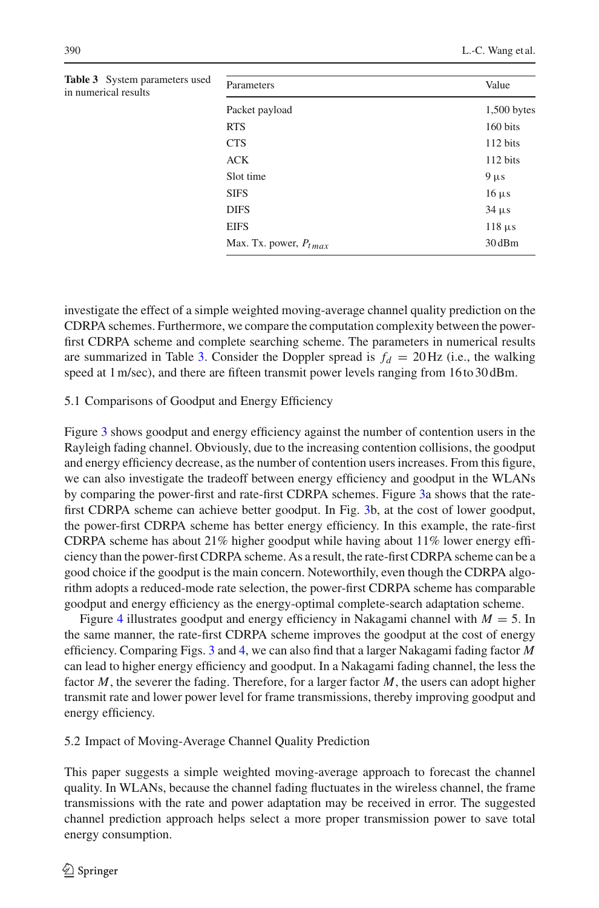| neters used | Parameters                 | Value         |
|-------------|----------------------------|---------------|
|             | Packet payload             | $1,500$ bytes |
|             | <b>RTS</b>                 | 160 bits      |
|             | <b>CTS</b>                 | 112 bits      |
|             | <b>ACK</b>                 | 112 bits      |
|             | Slot time                  | $9 \mu s$     |
|             | <b>SIFS</b>                | $16 \mu s$    |
|             | <b>DIFS</b>                | $34 \mu s$    |
|             | <b>EIFS</b>                | $118 \mu s$   |
|             | Max. Tx. power, $P_{tmax}$ | 30 dBm        |
|             |                            |               |

<span id="page-11-0"></span>**Table 3** System param in numerical results

investigate the effect of a simple weighted moving-average channel quality prediction on the CDRPA schemes. Furthermore, we compare the computation complexity between the powerfirst CDRPA scheme and complete searching scheme. The parameters in numerical results are summarized in Table [3.](#page-11-0) Consider the Doppler spread is  $f_d = 20$  Hz (i.e., the walking speed at 1 m/sec), and there are fifteen transmit power levels ranging from 16to 30 dBm.

# 5.1 Comparisons of Goodput and Energy Efficiency

Figure [3](#page-12-0) shows goodput and energy efficiency against the number of contention users in the Rayleigh fading channel. Obviously, due to the increasing contention collisions, the goodput and energy efficiency decrease, as the number of contention users increases. From this figure, we can also investigate the tradeoff between energy efficiency and goodput in the WLANs by comparing the power-first and rate-first CDRPA schemes. Figure [3a](#page-12-0) shows that the ratefirst CDRPA scheme can achieve better goodput. In Fig. [3b](#page-12-0), at the cost of lower goodput, the power-first CDRPA scheme has better energy efficiency. In this example, the rate-first CDRPA scheme has about 21% higher goodput while having about 11% lower energy efficiency than the power-first CDRPA scheme. As a result, the rate-first CDRPA scheme can be a good choice if the goodput is the main concern. Noteworthily, even though the CDRPA algorithm adopts a reduced-mode rate selection, the power-first CDRPA scheme has comparable goodput and energy efficiency as the energy-optimal complete-search adaptation scheme.

Figure [4](#page-13-0) illustrates goodput and energy efficiency in Nakagami channel with *M* = 5. In the same manner, the rate-first CDRPA scheme improves the goodput at the cost of energy efficiency. Comparing Figs. [3](#page-12-0) and [4,](#page-13-0) we can also find that a larger Nakagami fading factor *M* can lead to higher energy efficiency and goodput. In a Nakagami fading channel, the less the factor *M*, the severer the fading. Therefore, for a larger factor *M*, the users can adopt higher transmit rate and lower power level for frame transmissions, thereby improving goodput and energy efficiency.

## 5.2 Impact of Moving-Average Channel Quality Prediction

This paper suggests a simple weighted moving-average approach to forecast the channel quality. In WLANs, because the channel fading fluctuates in the wireless channel, the frame transmissions with the rate and power adaptation may be received in error. The suggested channel prediction approach helps select a more proper transmission power to save total energy consumption.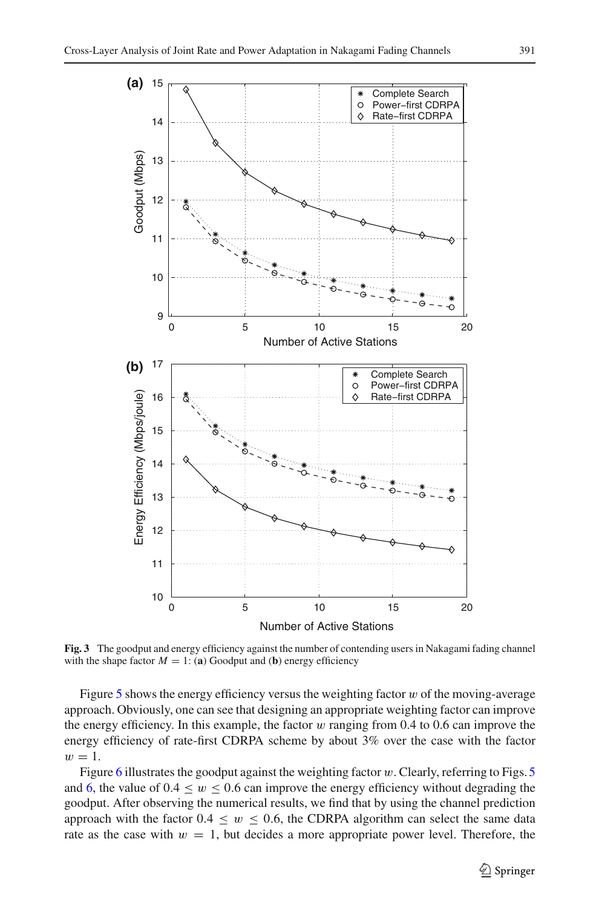

<span id="page-12-0"></span>**Fig. 3** The goodput and energy efficiency against the number of contending users in Nakagami fading channel with the shape factor  $M = 1$ : (a) Goodput and (b) energy efficiency

Figure  $5$  shows the energy efficiency versus the weighting factor  $w$  of the moving-average approach. Obviously, one can see that designing an appropriate weighting factor can improve the energy efficiency. In this example, the factor  $w$  ranging from 0.4 to 0.6 can improve the energy efficiency of rate-first CDRPA scheme by about 3% over the case with the factor  $w=1$ .

Figure [6](#page-14-0) illustrates the goodput against the weighting factor  $w$ . Clearly, referring to Figs. [5](#page-14-1) and [6,](#page-14-0) the value of  $0.4 \leq w \leq 0.6$  can improve the energy efficiency without degrading the goodput. After observing the numerical results, we find that by using the channel prediction approach with the factor  $0.4 \leq w \leq 0.6$ , the CDRPA algorithm can select the same data rate as the case with  $w = 1$ , but decides a more appropriate power level. Therefore, the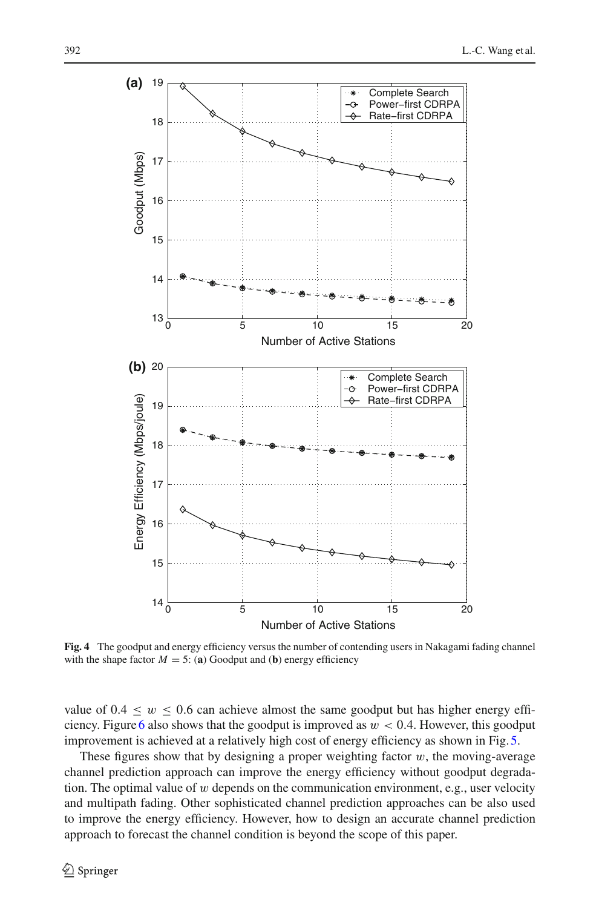

<span id="page-13-0"></span>**Fig. 4** The goodput and energy efficiency versus the number of contending users in Nakagami fading channel with the shape factor  $M = 5$ : (a) Goodput and (b) energy efficiency

value of  $0.4 \leq w \leq 0.6$  can achieve almost the same goodput but has higher energy effi-ciency. Figure [6](#page-14-0) also shows that the goodput is improved as  $w < 0.4$ . However, this goodput improvement is achieved at a relatively high cost of energy efficiency as shown in Fig.[5.](#page-14-1)

These figures show that by designing a proper weighting factor  $w$ , the moving-average channel prediction approach can improve the energy efficiency without goodput degradation. The optimal value of  $w$  depends on the communication environment, e.g., user velocity and multipath fading. Other sophisticated channel prediction approaches can be also used to improve the energy efficiency. However, how to design an accurate channel prediction approach to forecast the channel condition is beyond the scope of this paper.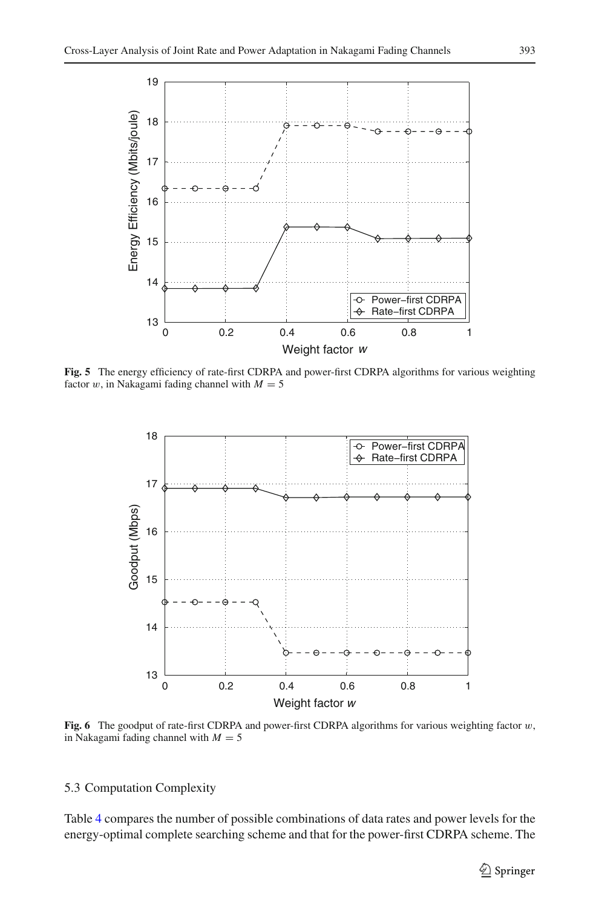

<span id="page-14-1"></span>**Fig. 5** The energy efficiency of rate-first CDRPA and power-first CDRPA algorithms for various weighting factor w, in Nakagami fading channel with  $M = 5$ 



<span id="page-14-0"></span>**Fig. 6** The goodput of rate-first CDRPA and power-first CDRPA algorithms for various weighting factor w, in Nakagami fading channel with  $M = 5$ 

## 5.3 Computation Complexity

Table [4](#page-15-1) compares the number of possible combinations of data rates and power levels for the energy-optimal complete searching scheme and that for the power-first CDRPA scheme. The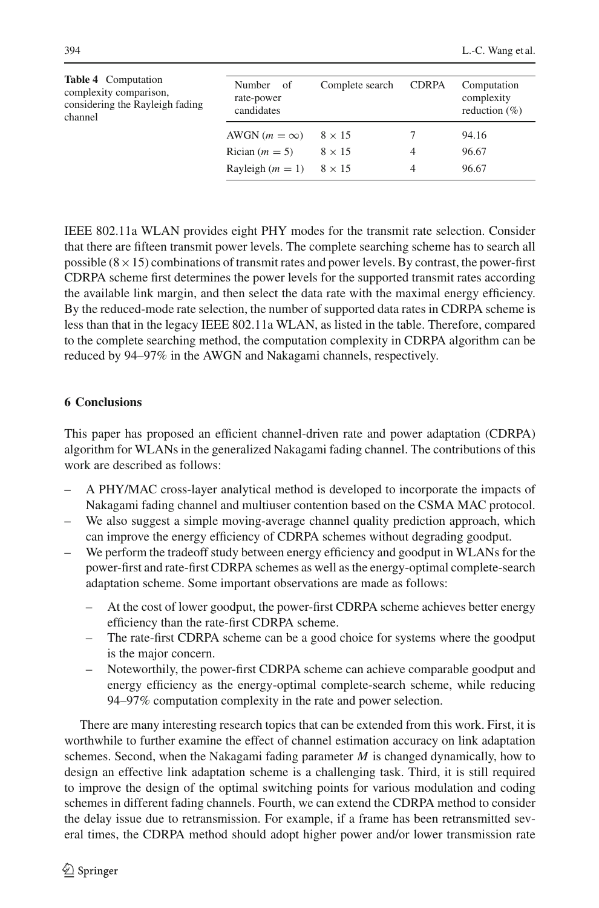<span id="page-15-1"></span>

| <b>Table 4</b> Computation<br>complexity comparison,<br>considering the Rayleigh fading<br>channel | Number of<br>rate-power<br>candidates | Complete search | <b>CDRPA</b> | Computation<br>complexity<br>reduction $(\% )$ |
|----------------------------------------------------------------------------------------------------|---------------------------------------|-----------------|--------------|------------------------------------------------|
|                                                                                                    | AWGN $(m = \infty)$                   | $8 \times 15$   |              | 94.16                                          |
|                                                                                                    | Rician $(m = 5)$                      | $8 \times 15$   | 4            | 96.67                                          |
|                                                                                                    | Rayleigh $(m = 1)$                    | $8 \times 15$   | 4            | 96.67                                          |

IEEE 802.11a WLAN provides eight PHY modes for the transmit rate selection. Consider that there are fifteen transmit power levels. The complete searching scheme has to search all possible  $(8 \times 15)$  combinations of transmit rates and power levels. By contrast, the power-first CDRPA scheme first determines the power levels for the supported transmit rates according the available link margin, and then select the data rate with the maximal energy efficiency. By the reduced-mode rate selection, the number of supported data rates in CDRPA scheme is less than that in the legacy IEEE 802.11a WLAN, as listed in the table. Therefore, compared to the complete searching method, the computation complexity in CDRPA algorithm can be reduced by 94–97% in the AWGN and Nakagami channels, respectively.

# <span id="page-15-0"></span>**6 Conclusions**

This paper has proposed an efficient channel-driven rate and power adaptation (CDRPA) algorithm for WLANs in the generalized Nakagami fading channel. The contributions of this work are described as follows:

- A PHY/MAC cross-layer analytical method is developed to incorporate the impacts of Nakagami fading channel and multiuser contention based on the CSMA MAC protocol.
- We also suggest a simple moving-average channel quality prediction approach, which can improve the energy efficiency of CDRPA schemes without degrading goodput.
- We perform the tradeoff study between energy efficiency and goodput in WLANs for the power-first and rate-first CDRPA schemes as well as the energy-optimal complete-search adaptation scheme. Some important observations are made as follows:
	- At the cost of lower goodput, the power-first CDRPA scheme achieves better energy efficiency than the rate-first CDRPA scheme.
	- The rate-first CDRPA scheme can be a good choice for systems where the goodput is the major concern.
	- Noteworthily, the power-first CDRPA scheme can achieve comparable goodput and energy efficiency as the energy-optimal complete-search scheme, while reducing 94–97% computation complexity in the rate and power selection.

There are many interesting research topics that can be extended from this work. First, it is worthwhile to further examine the effect of channel estimation accuracy on link adaptation schemes. Second, when the Nakagami fading parameter *M* is changed dynamically, how to design an effective link adaptation scheme is a challenging task. Third, it is still required to improve the design of the optimal switching points for various modulation and coding schemes in different fading channels. Fourth, we can extend the CDRPA method to consider the delay issue due to retransmission. For example, if a frame has been retransmitted several times, the CDRPA method should adopt higher power and/or lower transmission rate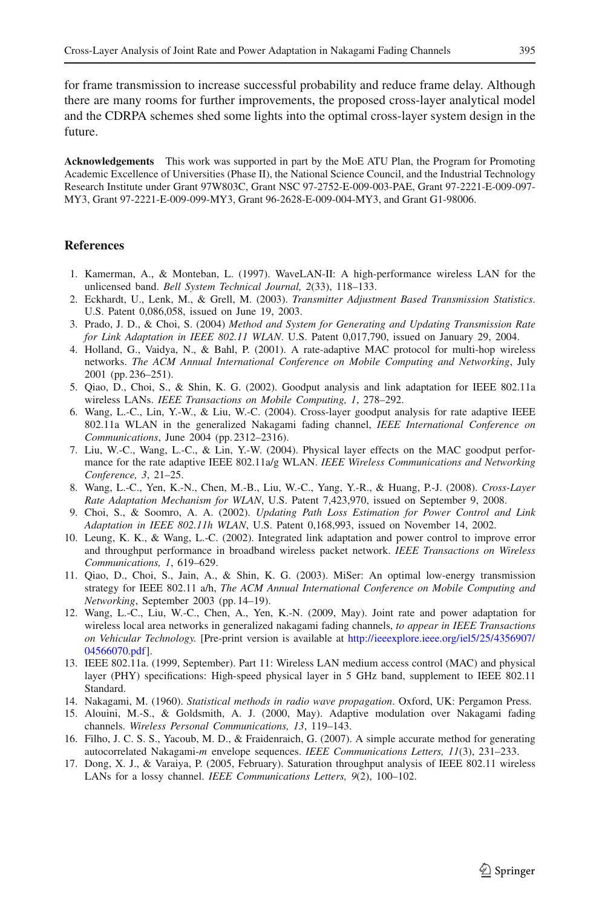for frame transmission to increase successful probability and reduce frame delay. Although there are many rooms for further improvements, the proposed cross-layer analytical model and the CDRPA schemes shed some lights into the optimal cross-layer system design in the future.

**Acknowledgements** This work was supported in part by the MoE ATU Plan, the Program for Promoting Academic Excellence of Universities (Phase II), the National Science Council, and the Industrial Technology Research Institute under Grant 97W803C, Grant NSC 97-2752-E-009-003-PAE, Grant 97-2221-E-009-097- MY3, Grant 97-2221-E-009-099-MY3, Grant 96-2628-E-009-004-MY3, and Grant G1-98006.

## <span id="page-16-1"></span>**References**

- 1. Kamerman, A., & Monteban, L. (1997). WaveLAN-II: A high-performance wireless LAN for the unlicensed band. *Bell System Technical Journal, 2*(33), 118–133.
- <span id="page-16-2"></span>2. Eckhardt, U., Lenk, M., & Grell, M. (2003). *Transmitter Adjustment Based Transmission Statistics*. U.S. Patent 0,086,058, issued on June 19, 2003.
- <span id="page-16-3"></span>3. Prado, J. D., & Choi, S. (2004) *Method and System for Generating and Updating Transmission Rate for Link Adaptation in IEEE 802.11 WLAN*. U.S. Patent 0,017,790, issued on January 29, 2004.
- <span id="page-16-5"></span>4. Holland, G., Vaidya, N., & Bahl, P. (2001). A rate-adaptive MAC protocol for multi-hop wireless networks. *The ACM Annual International Conference on Mobile Computing and Networking*, July 2001 (pp. 236–251).
- <span id="page-16-6"></span>5. Qiao, D., Choi, S., & Shin, K. G. (2002). Goodput analysis and link adaptation for IEEE 802.11a wireless LANs. *IEEE Transactions on Mobile Computing, 1*, 278–292.
- <span id="page-16-7"></span>6. Wang, L.-C., Lin, Y.-W., & Liu, W.-C. (2004). Cross-layer goodput analysis for rate adaptive IEEE 802.11a WLAN in the generalized Nakagami fading channel, *IEEE International Conference on Communications*, June 2004 (pp. 2312–2316).
- <span id="page-16-4"></span>7. Liu, W.-C., Wang, L.-C., & Lin, Y.-W. (2004). Physical layer effects on the MAC goodput performance for the rate adaptive IEEE 802.11a/g WLAN. *IEEE Wireless Communications and Networking Conference, 3*, 21–25.
- <span id="page-16-8"></span>8. Wang, L.-C., Yen, K.-N., Chen, M.-B., Liu, W.-C., Yang, Y.-R., & Huang, P.-J. (2008). *Cross-Layer Rate Adaptation Mechanism for WLAN*, U.S. Patent 7,423,970, issued on September 9, 2008.
- 9. Choi, S., & Soomro, A. A. (2002). *Updating Path Loss Estimation for Power Control and Link Adaptation in IEEE 802.11h WLAN*, U.S. Patent 0,168,993, issued on November 14, 2002.
- <span id="page-16-9"></span><span id="page-16-0"></span>10. Leung, K. K., & Wang, L.-C. (2002). Integrated link adaptation and power control to improve error and throughput performance in broadband wireless packet network. *IEEE Transactions on Wireless Communications, 1*, 619–629.
- <span id="page-16-11"></span>11. Qiao, D., Choi, S., Jain, A., & Shin, K. G. (2003). MiSer: An optimal low-energy transmission strategy for IEEE 802.11 a/h, *The ACM Annual International Conference on Mobile Computing and Networking*, September 2003 (pp. 14–19).
- <span id="page-16-12"></span>12. Wang, L.-C., Liu, W.-C., Chen, A., Yen, K.-N. (2009, May). Joint rate and power adaptation for wireless local area networks in generalized nakagami fading channels, *to appear in IEEE Transactions on Vehicular Technology.* [Pre-print version is available at [http://ieeexplore.ieee.org/iel5/25/4356907/](http://ieeexplore.ieee.org/iel5/25/4356907/04566070.pdf) [04566070.pdf\]](http://ieeexplore.ieee.org/iel5/25/4356907/04566070.pdf).
- <span id="page-16-10"></span>13. IEEE 802.11a. (1999, September). Part 11: Wireless LAN medium access control (MAC) and physical layer (PHY) specifications: High-speed physical layer in 5 GHz band, supplement to IEEE 802.11 Standard.
- <span id="page-16-13"></span>14. Nakagami, M. (1960). *Statistical methods in radio wave propagation*. Oxford, UK: Pergamon Press.
- <span id="page-16-14"></span>15. Alouini, M.-S., & Goldsmith, A. J. (2000, May). Adaptive modulation over Nakagami fading channels. *Wireless Personal Communications, 13*, 119–143.
- <span id="page-16-15"></span>16. Filho, J. C. S. S., Yacoub, M. D., & Fraidenraich, G. (2007). A simple accurate method for generating autocorrelated Nakagami-*m* envelope sequences. *IEEE Communications Letters, 11*(3), 231–233.
- <span id="page-16-16"></span>17. Dong, X. J., & Varaiya, P. (2005, February). Saturation throughput analysis of IEEE 802.11 wireless LANs for a lossy channel. *IEEE Communications Letters, 9*(2), 100–102.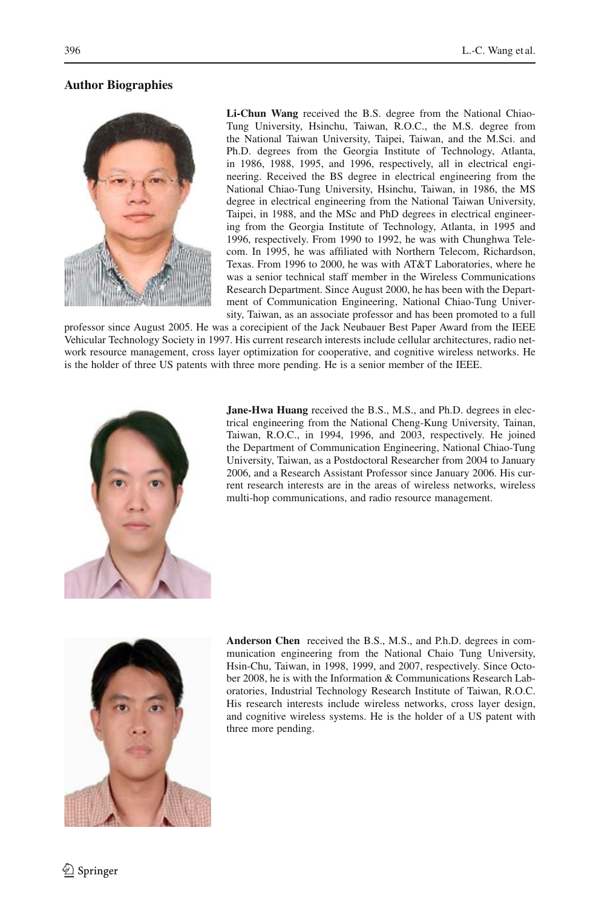# **Author Biographies**



**Li-Chun Wang** received the B.S. degree from the National Chiao-Tung University, Hsinchu, Taiwan, R.O.C., the M.S. degree from the National Taiwan University, Taipei, Taiwan, and the M.Sci. and Ph.D. degrees from the Georgia Institute of Technology, Atlanta, in 1986, 1988, 1995, and 1996, respectively, all in electrical engineering. Received the BS degree in electrical engineering from the National Chiao-Tung University, Hsinchu, Taiwan, in 1986, the MS degree in electrical engineering from the National Taiwan University, Taipei, in 1988, and the MSc and PhD degrees in electrical engineering from the Georgia Institute of Technology, Atlanta, in 1995 and 1996, respectively. From 1990 to 1992, he was with Chunghwa Telecom. In 1995, he was affiliated with Northern Telecom, Richardson, Texas. From 1996 to 2000, he was with AT&T Laboratories, where he was a senior technical staff member in the Wireless Communications Research Department. Since August 2000, he has been with the Department of Communication Engineering, National Chiao-Tung University, Taiwan, as an associate professor and has been promoted to a full

professor since August 2005. He was a corecipient of the Jack Neubauer Best Paper Award from the IEEE Vehicular Technology Society in 1997. His current research interests include cellular architectures, radio network resource management, cross layer optimization for cooperative, and cognitive wireless networks. He is the holder of three US patents with three more pending. He is a senior member of the IEEE.



**Jane-Hwa Huang** received the B.S., M.S., and Ph.D. degrees in electrical engineering from the National Cheng-Kung University, Tainan, Taiwan, R.O.C., in 1994, 1996, and 2003, respectively. He joined the Department of Communication Engineering, National Chiao-Tung University, Taiwan, as a Postdoctoral Researcher from 2004 to January 2006, and a Research Assistant Professor since January 2006. His current research interests are in the areas of wireless networks, wireless multi-hop communications, and radio resource management.



**Anderson Chen** received the B.S., M.S., and P.h.D. degrees in communication engineering from the National Chaio Tung University, Hsin-Chu, Taiwan, in 1998, 1999, and 2007, respectively. Since October 2008, he is with the Information & Communications Research Laboratories, Industrial Technology Research Institute of Taiwan, R.O.C. His research interests include wireless networks, cross layer design, and cognitive wireless systems. He is the holder of a US patent with three more pending.